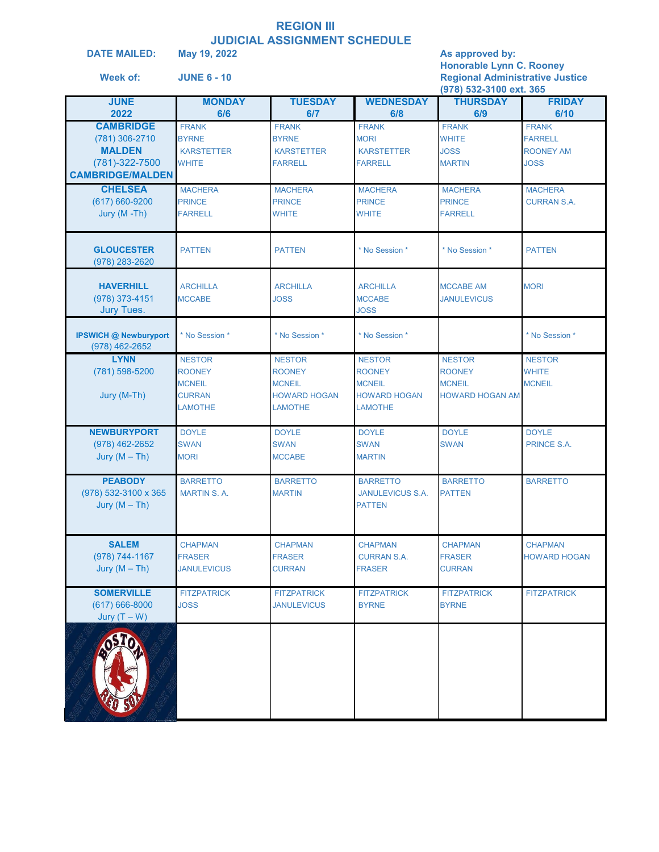# **REGION III JUDICIAL ASSIGNMENT SCHEDULE**<br>May 19, 2022

**DATE MAILED:** May 19, 2022 **As approved by: Honorable Lynn C. Rooney Week of: JUNE 6 - 10 Regional Administrative Justice (978) 532-3100 ext. 365 JUNE MONDAY TUESDAY WEDNESDAY THURSDAY FRIDAY**

| 2022                         | 6/6                | 6/7                 | 6/8                     | 6/9                    | 6/10                |
|------------------------------|--------------------|---------------------|-------------------------|------------------------|---------------------|
| <b>CAMBRIDGE</b>             | <b>FRANK</b>       | <b>FRANK</b>        | <b>FRANK</b>            | <b>FRANK</b>           | <b>FRANK</b>        |
|                              | <b>BYRNE</b>       | <b>BYRNE</b>        | <b>MORI</b>             | <b>WHITE</b>           | <b>FARRELL</b>      |
| (781) 306-2710               |                    |                     |                         |                        |                     |
| <b>MALDEN</b>                | <b>KARSTETTER</b>  | <b>KARSTETTER</b>   | <b>KARSTETTER</b>       | JOSS                   | <b>ROONEY AM</b>    |
| (781)-322-7500               | WHITE              | <b>FARRELL</b>      | <b>FARRELL</b>          | <b>MARTIN</b>          | <b>JOSS</b>         |
| <b>CAMBRIDGE/MALDEN</b>      |                    |                     |                         |                        |                     |
|                              |                    |                     |                         |                        |                     |
| <b>CHELSEA</b>               | <b>MACHERA</b>     | <b>MACHERA</b>      | <b>MACHERA</b>          | <b>MACHERA</b>         | <b>MACHERA</b>      |
| $(617) 660 - 9200$           | <b>PRINCE</b>      | <b>PRINCE</b>       | <b>PRINCE</b>           | <b>PRINCE</b>          | <b>CURRAN S.A.</b>  |
| Jury (M-Th)                  | <b>FARRELL</b>     | WHITE               | <b>WHITE</b>            | <b>FARRELL</b>         |                     |
|                              |                    |                     |                         |                        |                     |
|                              |                    |                     |                         |                        |                     |
| <b>GLOUCESTER</b>            | <b>PATTEN</b>      | <b>PATTEN</b>       | * No Session *          | * No Session *         | <b>PATTEN</b>       |
| (978) 283-2620               |                    |                     |                         |                        |                     |
|                              |                    |                     |                         |                        |                     |
| <b>HAVERHILL</b>             | <b>ARCHILLA</b>    | <b>ARCHILLA</b>     | <b>ARCHILLA</b>         | <b>MCCABE AM</b>       | <b>MORI</b>         |
| (978) 373-4151               | <b>MCCABE</b>      | <b>JOSS</b>         | <b>MCCABE</b>           | <b>JANULEVICUS</b>     |                     |
| <b>Jury Tues.</b>            |                    |                     | <b>JOSS</b>             |                        |                     |
|                              |                    |                     |                         |                        |                     |
|                              |                    |                     |                         |                        |                     |
| <b>IPSWICH @ Newburyport</b> | * No Session *     | * No Session *      | * No Session *          |                        | * No Session *      |
| (978) 462-2652               |                    |                     |                         |                        |                     |
| <b>LYNN</b>                  | <b>NESTOR</b>      | <b>NESTOR</b>       | <b>NESTOR</b>           | <b>NESTOR</b>          | <b>NESTOR</b>       |
| (781) 598-5200               | <b>ROONEY</b>      | <b>ROONEY</b>       | <b>ROONEY</b>           | <b>ROONEY</b>          | <b>WHITE</b>        |
|                              |                    |                     |                         |                        |                     |
|                              | <b>MCNEIL</b>      | <b>MCNEIL</b>       | <b>MCNEIL</b>           | <b>MCNEIL</b>          | <b>MCNEIL</b>       |
| Jury (M-Th)                  | <b>CURRAN</b>      | <b>HOWARD HOGAN</b> | <b>HOWARD HOGAN</b>     | <b>HOWARD HOGAN AM</b> |                     |
|                              | <b>LAMOTHE</b>     | <b>LAMOTHE</b>      | <b>LAMOTHE</b>          |                        |                     |
|                              |                    |                     |                         |                        |                     |
| <b>NEWBURYPORT</b>           | <b>DOYLE</b>       | <b>DOYLE</b>        | <b>DOYLE</b>            | <b>DOYLE</b>           | <b>DOYLE</b>        |
|                              |                    |                     |                         |                        |                     |
| $(978)$ 462-2652             | <b>SWAN</b>        | <b>SWAN</b>         | <b>SWAN</b>             | <b>SWAN</b>            | PRINCE S.A.         |
| Jury $(M-Th)$                | <b>MORI</b>        | <b>MCCABE</b>       | <b>MARTIN</b>           |                        |                     |
|                              |                    |                     |                         |                        |                     |
| <b>PEABODY</b>               | <b>BARRETTO</b>    | <b>BARRETTO</b>     | <b>BARRETTO</b>         | <b>BARRETTO</b>        | <b>BARRETTO</b>     |
| (978) 532-3100 x 365         | <b>MARTIN S.A.</b> | <b>MARTIN</b>       | <b>JANULEVICUS S.A.</b> | <b>PATTEN</b>          |                     |
| Jury $(M-Th)$                |                    |                     | <b>PATTEN</b>           |                        |                     |
|                              |                    |                     |                         |                        |                     |
|                              |                    |                     |                         |                        |                     |
|                              |                    |                     |                         |                        |                     |
| <b>SALEM</b>                 | <b>CHAPMAN</b>     | <b>CHAPMAN</b>      | <b>CHAPMAN</b>          | <b>CHAPMAN</b>         | <b>CHAPMAN</b>      |
| (978) 744-1167               | <b>FRASER</b>      | <b>FRASER</b>       | <b>CURRAN S.A.</b>      | <b>FRASER</b>          | <b>HOWARD HOGAN</b> |
|                              | <b>JANULEVICUS</b> |                     |                         |                        |                     |
| Jury $(M-Th)$                |                    | <b>CURRAN</b>       | <b>FRASER</b>           | <b>CURRAN</b>          |                     |
|                              |                    |                     |                         |                        |                     |
| <b>SOMERVILLE</b>            | <b>FITZPATRICK</b> | <b>FITZPATRICK</b>  | <b>FITZPATRICK</b>      | <b>FITZPATRICK</b>     | <b>FITZPATRICK</b>  |
| $(617) 666 - 8000$           | <b>JOSS</b>        | <b>JANULEVICUS</b>  | <b>BYRNE</b>            | <b>BYRNE</b>           |                     |
| Jury $(T - W)$               |                    |                     |                         |                        |                     |
|                              |                    |                     |                         |                        |                     |
|                              |                    |                     |                         |                        |                     |
|                              |                    |                     |                         |                        |                     |
|                              |                    |                     |                         |                        |                     |
|                              |                    |                     |                         |                        |                     |
|                              |                    |                     |                         |                        |                     |
|                              |                    |                     |                         |                        |                     |
|                              |                    |                     |                         |                        |                     |
|                              |                    |                     |                         |                        |                     |
|                              |                    |                     |                         |                        |                     |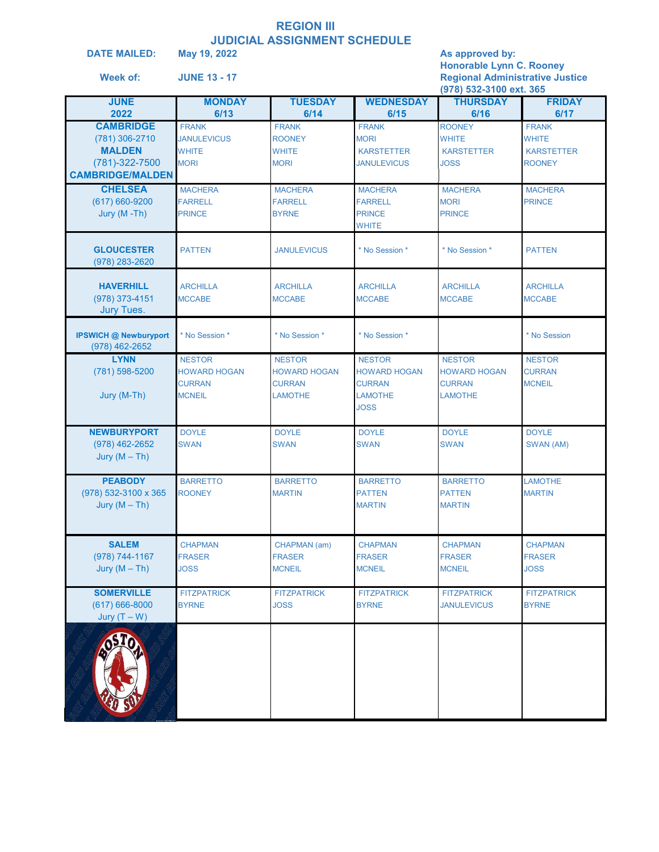#### **REGION III JUDICIAL ASSIGNMENT SCHEDULE**

| <b>DATE MAILED:</b><br>Week of:                                                                  | <u>UUDIUIAL AUUIUI III</u><br>May 19, 2022<br><b>JUNE 13 - 17</b>      |                                                                         |                                                                                        | As approved by:<br><b>Honorable Lynn C. Rooney</b><br><b>Regional Administrative Justice</b><br>(978) 532-3100 ext. 365 |                                                                    |
|--------------------------------------------------------------------------------------------------|------------------------------------------------------------------------|-------------------------------------------------------------------------|----------------------------------------------------------------------------------------|-------------------------------------------------------------------------------------------------------------------------|--------------------------------------------------------------------|
| <b>JUNE</b><br>2022                                                                              | <b>MONDAY</b><br>6/13                                                  | <b>TUESDAY</b><br>6/14                                                  | <b>WEDNESDAY</b><br>6/15                                                               | <b>THURSDAY</b><br>6/16                                                                                                 | <b>FRIDAY</b><br>6/17                                              |
| <b>CAMBRIDGE</b><br>(781) 306-2710<br><b>MALDEN</b><br>(781)-322-7500<br><b>CAMBRIDGE/MALDEN</b> | <b>FRANK</b><br><b>JANULEVICUS</b><br><b>WHITE</b><br><b>MORI</b>      | <b>FRANK</b><br><b>ROONEY</b><br><b>WHITE</b><br><b>MORI</b>            | <b>FRANK</b><br><b>MORI</b><br><b>KARSTETTER</b><br><b>JANULEVICUS</b>                 | <b>ROONEY</b><br><b>WHITE</b><br><b>KARSTETTER</b><br><b>JOSS</b>                                                       | <b>FRANK</b><br><b>WHITE</b><br><b>KARSTETTER</b><br><b>ROONEY</b> |
| <b>CHELSEA</b><br>$(617) 660 - 9200$<br>Jury (M-Th)                                              | <b>MACHERA</b><br><b>FARRELL</b><br><b>PRINCE</b>                      | <b>MACHERA</b><br><b>FARRELL</b><br><b>BYRNE</b>                        | <b>MACHERA</b><br><b>FARRELL</b><br><b>PRINCE</b><br><b>WHITE</b>                      | <b>MACHERA</b><br><b>MORI</b><br><b>PRINCE</b>                                                                          | <b>MACHERA</b><br><b>PRINCE</b>                                    |
| <b>GLOUCESTER</b><br>(978) 283-2620                                                              | <b>PATTEN</b>                                                          | <b>JANULEVICUS</b>                                                      | * No Session *                                                                         | * No Session *                                                                                                          | <b>PATTEN</b>                                                      |
| <b>HAVERHILL</b><br>(978) 373-4151<br>Jury Tues.                                                 | <b>ARCHILLA</b><br><b>MCCABE</b>                                       | <b>ARCHILLA</b><br><b>MCCABE</b>                                        | <b>ARCHILLA</b><br><b>MCCABE</b>                                                       | <b>ARCHILLA</b><br><b>MCCABE</b>                                                                                        | <b>ARCHILLA</b><br><b>MCCABE</b>                                   |
| <b>IPSWICH @ Newburyport</b><br>(978) 462-2652                                                   | * No Session *                                                         | * No Session *                                                          | * No Session *                                                                         |                                                                                                                         | * No Session                                                       |
| <b>LYNN</b><br>(781) 598-5200<br>Jury (M-Th)                                                     | <b>NESTOR</b><br><b>HOWARD HOGAN</b><br><b>CURRAN</b><br><b>MCNEIL</b> | <b>NESTOR</b><br><b>HOWARD HOGAN</b><br><b>CURRAN</b><br><b>LAMOTHE</b> | <b>NESTOR</b><br><b>HOWARD HOGAN</b><br><b>CURRAN</b><br><b>LAMOTHE</b><br><b>JOSS</b> | <b>NESTOR</b><br><b>HOWARD HOGAN</b><br><b>CURRAN</b><br><b>LAMOTHE</b>                                                 | <b>NESTOR</b><br><b>CURRAN</b><br><b>MCNEIL</b>                    |
| <b>NEWBURYPORT</b><br>$(978)$ 462-2652<br>Jury $(M-Th)$                                          | <b>DOYLE</b><br><b>SWAN</b>                                            | <b>DOYLE</b><br><b>SWAN</b>                                             | <b>DOYLE</b><br><b>SWAN</b>                                                            | <b>DOYLE</b><br><b>SWAN</b>                                                                                             | <b>DOYLE</b><br>SWAN (AM)                                          |
| <b>PEABODY</b><br>(978) 532-3100 x 365<br>Jury $(M-Th)$                                          | <b>BARRETTO</b><br><b>ROONEY</b>                                       | <b>BARRETTO</b><br><b>MARTIN</b>                                        | <b>BARRETTO</b><br><b>PATTEN</b><br><b>MARTIN</b>                                      | <b>BARRETTO</b><br><b>PATTEN</b><br><b>MARTIN</b>                                                                       | <b>LAMOTHE</b><br><b>MARTIN</b>                                    |
| <b>SALEM</b><br>(978) 744-1167<br>Jury $(M-Th)$                                                  | <b>CHAPMAN</b><br><b>FRASER</b><br><b>JOSS</b>                         | CHAPMAN (am)<br><b>FRASER</b><br><b>MCNEIL</b>                          | <b>CHAPMAN</b><br><b>FRASER</b><br><b>MCNEIL</b>                                       | <b>CHAPMAN</b><br><b>FRASER</b><br><b>MCNEIL</b>                                                                        | <b>CHAPMAN</b><br><b>FRASER</b><br><b>JOSS</b>                     |
| <b>SOMERVILLE</b><br>$(617)666 - 8000$<br>Jury $(T - W)$                                         | <b>FITZPATRICK</b><br><b>BYRNE</b>                                     | <b>FITZPATRICK</b><br><b>JOSS</b>                                       | <b>FITZPATRICK</b><br><b>BYRNE</b>                                                     | <b>FITZPATRICK</b><br><b>JANULEVICUS</b>                                                                                | <b>FITZPATRICK</b><br><b>BYRNE</b>                                 |
|                                                                                                  |                                                                        |                                                                         |                                                                                        |                                                                                                                         |                                                                    |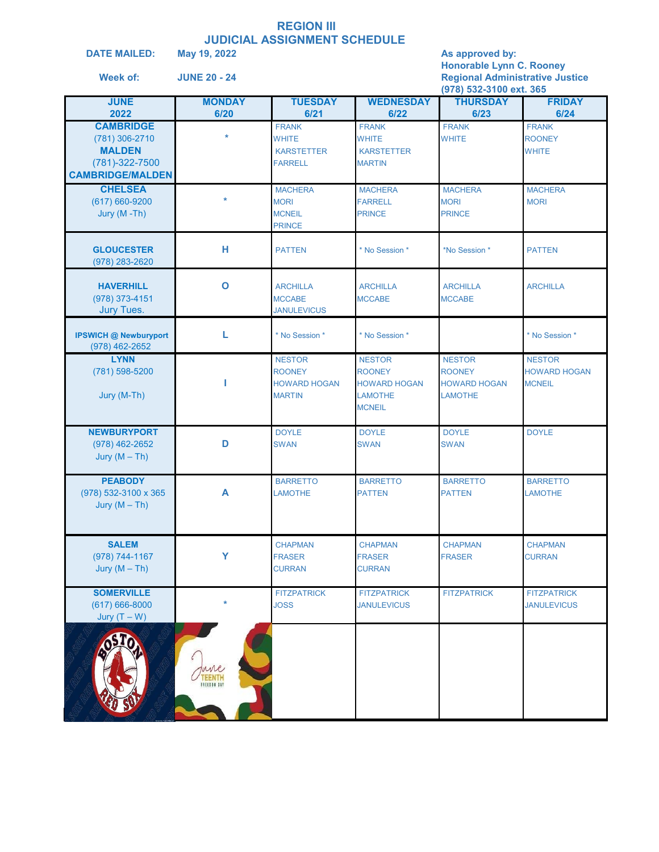## **REGION III JUDICIAL ASSIGNMENT SCHEDULE**<br>May 19, 2022

**DATE MAILED:**

**Week of:** 

**May 19, 2022 As approved by: Honorable Lynn C. Rooney JUNE 20 - 24 Regional Administrative Justice**

|                              |                      |                     |                     | (978) 532-3100 ext. 365 |                     |
|------------------------------|----------------------|---------------------|---------------------|-------------------------|---------------------|
| <b>JUNE</b>                  | <b>MONDAY</b>        | <b>TUESDAY</b>      | <b>WEDNESDAY</b>    | <b>THURSDAY</b>         | <b>FRIDAY</b>       |
| 2022                         | 6/20                 | 6/21                | 6/22                | 6/23                    | 6/24                |
| <b>CAMBRIDGE</b>             | $\star$              | <b>FRANK</b>        | <b>FRANK</b>        | <b>FRANK</b>            | <b>FRANK</b>        |
| (781) 306-2710               |                      | <b>WHITE</b>        | WHITE               | <b>WHITE</b>            | <b>ROONEY</b>       |
| <b>MALDEN</b>                |                      | <b>KARSTETTER</b>   | <b>KARSTETTER</b>   |                         | <b>WHITE</b>        |
| (781)-322-7500               |                      | <b>FARRELL</b>      | <b>MARTIN</b>       |                         |                     |
| <b>CAMBRIDGE/MALDEN</b>      |                      |                     |                     |                         |                     |
| <b>CHELSEA</b>               |                      | <b>MACHERA</b>      | <b>MACHERA</b>      | <b>MACHERA</b>          | <b>MACHERA</b>      |
| $(617)660-9200$              | ÷                    | <b>MORI</b>         | <b>FARRELL</b>      | <b>MORI</b>             | <b>MORI</b>         |
| Jury (M-Th)                  |                      | <b>MCNEIL</b>       | <b>PRINCE</b>       | <b>PRINCE</b>           |                     |
|                              |                      | <b>PRINCE</b>       |                     |                         |                     |
| <b>GLOUCESTER</b>            | н                    | <b>PATTEN</b>       | * No Session *      | *No Session *           | <b>PATTEN</b>       |
| $(978)$ 283-2620             |                      |                     |                     |                         |                     |
|                              |                      |                     |                     |                         |                     |
| <b>HAVERHILL</b>             | $\mathbf{o}$         | <b>ARCHILLA</b>     | <b>ARCHILLA</b>     | <b>ARCHILLA</b>         | <b>ARCHILLA</b>     |
| (978) 373-4151               |                      | <b>MCCABE</b>       | <b>MCCABE</b>       | <b>MCCABE</b>           |                     |
| <b>Jury Tues.</b>            |                      | <b>JANULEVICUS</b>  |                     |                         |                     |
| <b>IPSWICH @ Newburyport</b> | L                    | * No Session *      | * No Session *      |                         | * No Session *      |
| (978) 462-2652               |                      |                     |                     |                         |                     |
| <b>LYNN</b>                  |                      | <b>NESTOR</b>       | <b>NESTOR</b>       | <b>NESTOR</b>           | <b>NESTOR</b>       |
| (781) 598-5200               |                      | <b>ROONEY</b>       | <b>ROONEY</b>       | <b>ROONEY</b>           | <b>HOWARD HOGAN</b> |
|                              | ı                    | <b>HOWARD HOGAN</b> | <b>HOWARD HOGAN</b> | <b>HOWARD HOGAN</b>     | <b>MCNEIL</b>       |
| Jury (M-Th)                  |                      | <b>MARTIN</b>       | <b>LAMOTHE</b>      | <b>LAMOTHE</b>          |                     |
|                              |                      |                     | <b>MCNEIL</b>       |                         |                     |
|                              |                      |                     |                     |                         |                     |
| <b>NEWBURYPORT</b>           |                      | <b>DOYLE</b>        | <b>DOYLE</b>        | <b>DOYLE</b>            | <b>DOYLE</b>        |
| (978) 462-2652               | D                    | <b>SWAN</b>         | <b>SWAN</b>         | <b>SWAN</b>             |                     |
| Jury $(M-Th)$                |                      |                     |                     |                         |                     |
| <b>PEABODY</b>               |                      | <b>BARRETTO</b>     | <b>BARRETTO</b>     | <b>BARRETTO</b>         | <b>BARRETTO</b>     |
| (978) 532-3100 x 365         | A                    | <b>LAMOTHE</b>      | <b>PATTEN</b>       | <b>PATTEN</b>           | <b>LAMOTHE</b>      |
| Jury $(M-Th)$                |                      |                     |                     |                         |                     |
|                              |                      |                     |                     |                         |                     |
|                              |                      |                     |                     |                         |                     |
| <b>SALEM</b>                 |                      | <b>CHAPMAN</b>      | <b>CHAPMAN</b>      | <b>CHAPMAN</b>          | <b>CHAPMAN</b>      |
| (978) 744-1167               | Y                    | <b>FRASER</b>       | <b>FRASER</b>       | <b>FRASER</b>           | <b>CURRAN</b>       |
| Jury $(M-Th)$                |                      | <b>CURRAN</b>       | <b>CURRAN</b>       |                         |                     |
|                              |                      |                     |                     |                         |                     |
| <b>SOMERVILLE</b>            |                      | <b>FITZPATRICK</b>  | <b>FITZPATRICK</b>  | <b>FITZPATRICK</b>      | <b>FITZPATRICK</b>  |
| $(617) 666 - 8000$           |                      | <b>JOSS</b>         | <b>JANULEVICUS</b>  |                         | <b>JANULEVICUS</b>  |
| Jury $(T - W)$               |                      |                     |                     |                         |                     |
|                              |                      |                     |                     |                         |                     |
|                              |                      |                     |                     |                         |                     |
|                              |                      |                     |                     |                         |                     |
|                              | une                  |                     |                     |                         |                     |
|                              | EENTH<br>FREEDOM DAY |                     |                     |                         |                     |
|                              |                      |                     |                     |                         |                     |
|                              |                      |                     |                     |                         |                     |
|                              |                      |                     |                     |                         |                     |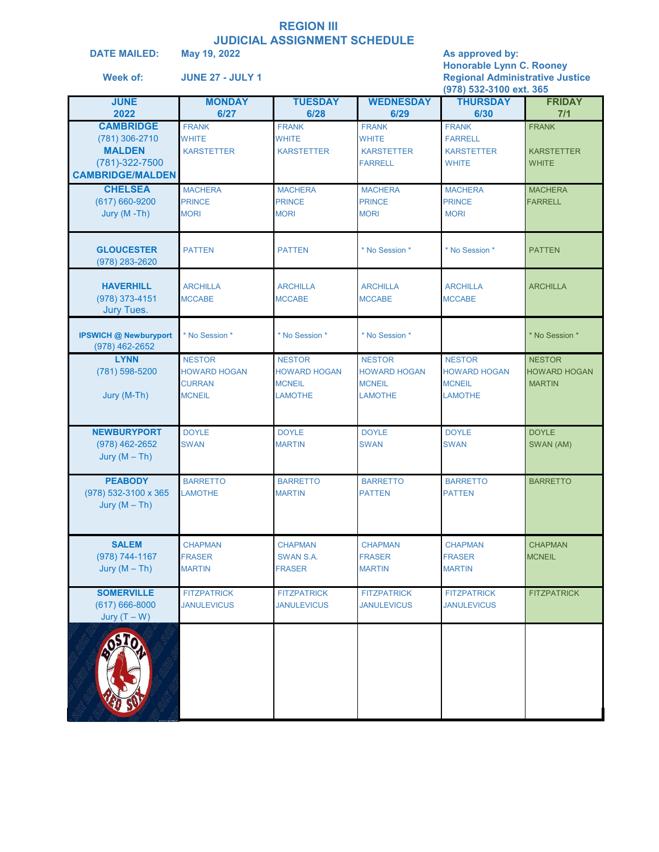#### **REGION III JUDICIAL ASSIGNMENT SCHEDULE**

| <b>DATE MAILED:</b><br>Week of:                                                                    | May 19, 2022<br><b>JUNE 27 - JULY 1</b>                                |                                                                         |                                                                         | As approved by:<br><b>Honorable Lynn C. Rooney</b><br><b>Regional Administrative Justice</b><br>(978) 532-3100 ext. 365 |                                                       |
|----------------------------------------------------------------------------------------------------|------------------------------------------------------------------------|-------------------------------------------------------------------------|-------------------------------------------------------------------------|-------------------------------------------------------------------------------------------------------------------------|-------------------------------------------------------|
| <b>JUNE</b><br>2022                                                                                | <b>MONDAY</b><br>6/27                                                  | <b>TUESDAY</b><br>6/28                                                  | <b>WEDNESDAY</b><br>6/29                                                | <b>THURSDAY</b><br>6/30                                                                                                 | <b>FRIDAY</b><br>7/1                                  |
| <b>CAMBRIDGE</b><br>$(781)$ 306-2710<br><b>MALDEN</b><br>(781)-322-7500<br><b>CAMBRIDGE/MALDEN</b> | <b>FRANK</b><br><b>WHITE</b><br><b>KARSTETTER</b>                      | <b>FRANK</b><br><b>WHITE</b><br><b>KARSTETTER</b>                       | <b>FRANK</b><br><b>WHITE</b><br><b>KARSTETTER</b><br><b>FARRELL</b>     | <b>FRANK</b><br><b>FARRELL</b><br><b>KARSTETTER</b><br><b>WHITE</b>                                                     | <b>FRANK</b><br><b>KARSTETTER</b><br><b>WHITE</b>     |
| <b>CHELSEA</b><br>(617) 660-9200<br>Jury (M-Th)                                                    | <b>MACHERA</b><br><b>PRINCE</b><br><b>MORI</b>                         | <b>MACHERA</b><br><b>PRINCE</b><br><b>MORI</b>                          | <b>MACHERA</b><br><b>PRINCE</b><br><b>MORI</b>                          | <b>MACHERA</b><br><b>PRINCE</b><br><b>MORI</b>                                                                          | <b>MACHERA</b><br><b>FARRELL</b>                      |
| <b>GLOUCESTER</b><br>(978) 283-2620                                                                | <b>PATTEN</b>                                                          | <b>PATTEN</b>                                                           | * No Session *                                                          | * No Session *                                                                                                          | <b>PATTEN</b>                                         |
| <b>HAVERHILL</b><br>(978) 373-4151<br><b>Jury Tues.</b>                                            | <b>ARCHILLA</b><br><b>MCCABE</b>                                       | <b>ARCHILLA</b><br><b>MCCABE</b>                                        | <b>ARCHILLA</b><br><b>MCCABE</b>                                        | <b>ARCHILLA</b><br><b>MCCABE</b>                                                                                        | <b>ARCHILLA</b>                                       |
| <b>IPSWICH @ Newburyport</b><br>(978) 462-2652                                                     | * No Session *                                                         | * No Session *                                                          | * No Session *                                                          |                                                                                                                         | * No Session *                                        |
| <b>LYNN</b><br>(781) 598-5200<br>Jury (M-Th)                                                       | <b>NESTOR</b><br><b>HOWARD HOGAN</b><br><b>CURRAN</b><br><b>MCNEIL</b> | <b>NESTOR</b><br><b>HOWARD HOGAN</b><br><b>MCNEIL</b><br><b>LAMOTHE</b> | <b>NESTOR</b><br><b>HOWARD HOGAN</b><br><b>MCNEIL</b><br><b>LAMOTHE</b> | <b>NESTOR</b><br><b>HOWARD HOGAN</b><br><b>MCNEIL</b><br><b>LAMOTHE</b>                                                 | <b>NESTOR</b><br><b>HOWARD HOGAN</b><br><b>MARTIN</b> |
| <b>NEWBURYPORT</b><br>$(978)$ 462-2652<br>Jury $(M-Th)$                                            | <b>DOYLE</b><br><b>SWAN</b>                                            | <b>DOYLE</b><br><b>MARTIN</b>                                           | <b>DOYLE</b><br><b>SWAN</b>                                             | <b>DOYLE</b><br><b>SWAN</b>                                                                                             | <b>DOYLE</b><br>SWAN (AM)                             |
| <b>PEABODY</b><br>(978) 532-3100 x 365<br>Jury $(M-Th)$                                            | <b>BARRETTO</b><br><b>LAMOTHE</b>                                      | <b>BARRETTO</b><br><b>MARTIN</b>                                        | <b>BARRETTO</b><br><b>PATTEN</b>                                        | <b>BARRETTO</b><br><b>PATTEN</b>                                                                                        | <b>BARRETTO</b>                                       |
| <b>SALEM</b><br>(978) 744-1167<br>Jury $(M-Th)$                                                    | <b>CHAPMAN</b><br><b>FRASER</b><br><b>MARTIN</b>                       | <b>CHAPMAN</b><br>SWAN S.A.<br><b>FRASER</b>                            | <b>CHAPMAN</b><br><b>FRASER</b><br><b>MARTIN</b>                        | <b>CHAPMAN</b><br><b>FRASER</b><br><b>MARTIN</b>                                                                        | <b>CHAPMAN</b><br><b>MCNEIL</b>                       |
| <b>SOMERVILLE</b><br>$(617)666 - 8000$<br>Jury $(T - W)$                                           | <b>FITZPATRICK</b><br><b>JANULEVICUS</b>                               | <b>FITZPATRICK</b><br><b>JANULEVICUS</b>                                | <b>FITZPATRICK</b><br><b>JANULEVICUS</b>                                | <b>FITZPATRICK</b><br><b>JANULEVICUS</b>                                                                                | <b>FITZPATRICK</b>                                    |
|                                                                                                    |                                                                        |                                                                         |                                                                         |                                                                                                                         |                                                       |